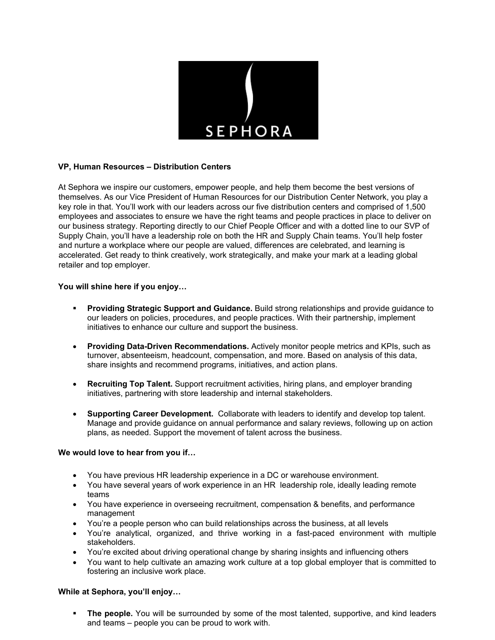

# **VP, Human Resources – Distribution Centers**

At Sephora we inspire our customers, empower people, and help them become the best versions of themselves. As our Vice President of Human Resources for our Distribution Center Network, you play a key role in that. You'll work with our leaders across our five distribution centers and comprised of 1,500 employees and associates to ensure we have the right teams and people practices in place to deliver on our business strategy. Reporting directly to our Chief People Officer and with a dotted line to our SVP of Supply Chain, you'll have a leadership role on both the HR and Supply Chain teams. You'll help foster and nurture a workplace where our people are valued, differences are celebrated, and learning is accelerated. Get ready to think creatively, work strategically, and make your mark at a leading global retailer and top employer.

## **You will shine here if you enjoy…**

- **Providing Strategic Support and Guidance.** Build strong relationships and provide guidance to our leaders on policies, procedures, and people practices. With their partnership, implement initiatives to enhance our culture and support the business.
- **Providing Data-Driven Recommendations.** Actively monitor people metrics and KPIs, such as turnover, absenteeism, headcount, compensation, and more. Based on analysis of this data, share insights and recommend programs, initiatives, and action plans.
- **Recruiting Top Talent.** Support recruitment activities, hiring plans, and employer branding initiatives, partnering with store leadership and internal stakeholders.
- **Supporting Career Development.** Collaborate with leaders to identify and develop top talent. Manage and provide guidance on annual performance and salary reviews, following up on action plans, as needed. Support the movement of talent across the business.

## **We would love to hear from you if…**

- You have previous HR leadership experience in a DC or warehouse environment.
- You have several years of work experience in an HR leadership role, ideally leading remote teams
- You have experience in overseeing recruitment, compensation & benefits, and performance management
- You're a people person who can build relationships across the business, at all levels
- You're analytical, organized, and thrive working in a fast-paced environment with multiple stakeholders.
- You're excited about driving operational change by sharing insights and influencing others
- You want to help cultivate an amazing work culture at a top global employer that is committed to fostering an inclusive work place.

#### **While at Sephora, you'll enjoy…**

The people. You will be surrounded by some of the most talented, supportive, and kind leaders and teams – people you can be proud to work with.